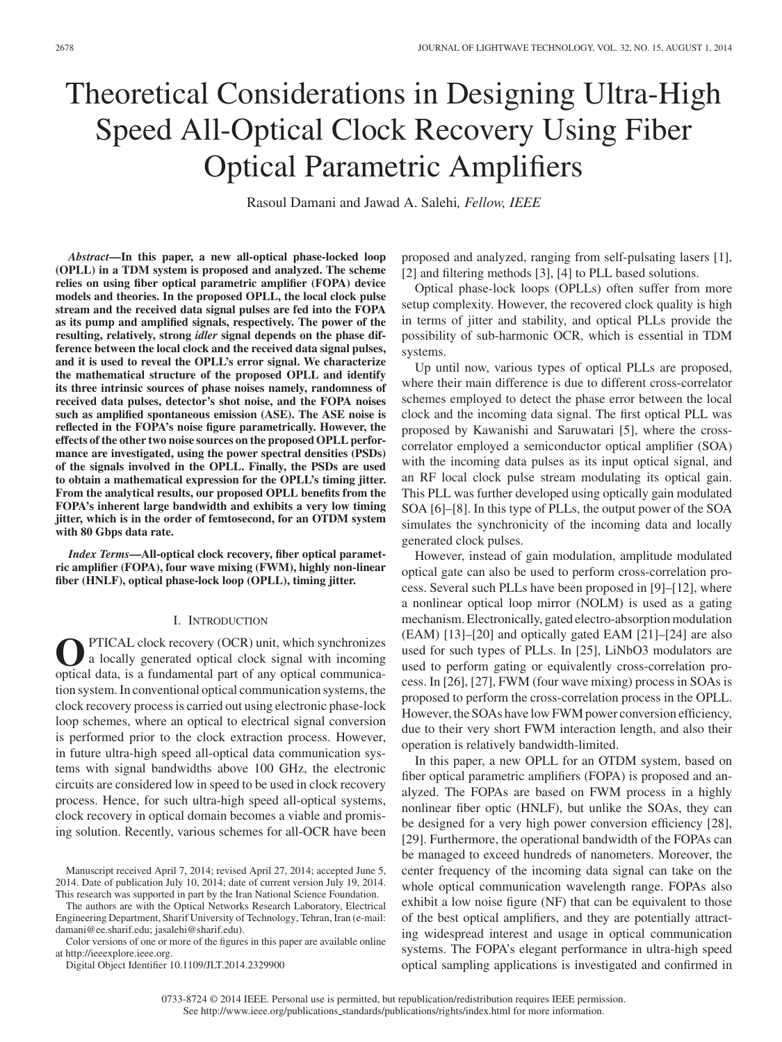# Theoretical Considerations in Designing Ultra-High Speed All-Optical Clock Recovery Using Fiber Optical Parametric Amplifiers

Rasoul Damani and Jawad A. Salehi*, Fellow, IEEE*

*Abstract***—In this paper, a new all-optical phase-locked loop (OPLL) in a TDM system is proposed and analyzed. The scheme relies on using fiber optical parametric amplifier (FOPA) device models and theories. In the proposed OPLL, the local clock pulse stream and the received data signal pulses are fed into the FOPA as its pump and amplified signals, respectively. The power of the resulting, relatively, strong** *idler* **signal depends on the phase difference between the local clock and the received data signal pulses, and it is used to reveal the OPLL's error signal. We characterize the mathematical structure of the proposed OPLL and identify its three intrinsic sources of phase noises namely, randomness of received data pulses, detector's shot noise, and the FOPA noises such as amplified spontaneous emission (ASE). The ASE noise is reflected in the FOPA's noise figure parametrically. However, the effects of the other two noise sources on the proposed OPLL performance are investigated, using the power spectral densities (PSDs) of the signals involved in the OPLL. Finally, the PSDs are used to obtain a mathematical expression for the OPLL's timing jitter. From the analytical results, our proposed OPLL benefits from the FOPA's inherent large bandwidth and exhibits a very low timing jitter, which is in the order of femtosecond, for an OTDM system with 80 Gbps data rate.**

*Index Terms***—All-optical clock recovery, fiber optical parametric amplifier (FOPA), four wave mixing (FWM), highly non-linear fiber (HNLF), optical phase-lock loop (OPLL), timing jitter.**

#### I. INTRODUCTION

**O**PTICAL clock recovery (OCR) unit, which synchronizes<br>a locally generated optical clock signal with incoming<br>optical data is a fundamental part of any optical communical optical data, is a fundamental part of any optical communication system. In conventional optical communication systems, the clock recovery process is carried out using electronic phase-lock loop schemes, where an optical to electrical signal conversion is performed prior to the clock extraction process. However, in future ultra-high speed all-optical data communication systems with signal bandwidths above 100 GHz, the electronic circuits are considered low in speed to be used in clock recovery process. Hence, for such ultra-high speed all-optical systems, clock recovery in optical domain becomes a viable and promising solution. Recently, various schemes for all-OCR have been

The authors are with the Optical Networks Research Laboratory, Electrical Engineering Department, Sharif University of Technology, Tehran, Iran (e-mail: damani@ee.sharif.edu; jasalehi@sharif.edu).

Color versions of one or more of the figures in this paper are available online at http://ieeexplore.ieee.org.

Digital Object Identifier 10.1109/JLT.2014.2329900

proposed and analyzed, ranging from self-pulsating lasers [1], [2] and filtering methods [3], [4] to PLL based solutions.

Optical phase-lock loops (OPLLs) often suffer from more setup complexity. However, the recovered clock quality is high in terms of jitter and stability, and optical PLLs provide the possibility of sub-harmonic OCR, which is essential in TDM systems.

Up until now, various types of optical PLLs are proposed, where their main difference is due to different cross-correlator schemes employed to detect the phase error between the local clock and the incoming data signal. The first optical PLL was proposed by Kawanishi and Saruwatari [5], where the crosscorrelator employed a semiconductor optical amplifier (SOA) with the incoming data pulses as its input optical signal, and an RF local clock pulse stream modulating its optical gain. This PLL was further developed using optically gain modulated SOA [6]–[8]. In this type of PLLs, the output power of the SOA simulates the synchronicity of the incoming data and locally generated clock pulses.

However, instead of gain modulation, amplitude modulated optical gate can also be used to perform cross-correlation process. Several such PLLs have been proposed in [9]–[12], where a nonlinear optical loop mirror (NOLM) is used as a gating mechanism. Electronically, gated electro-absorption modulation (EAM) [13]–[20] and optically gated EAM [21]–[24] are also used for such types of PLLs. In [25], LiNbO3 modulators are used to perform gating or equivalently cross-correlation process. In [26], [27], FWM (four wave mixing) process in SOAs is proposed to perform the cross-correlation process in the OPLL. However, the SOAs have low FWM power conversion efficiency, due to their very short FWM interaction length, and also their operation is relatively bandwidth-limited.

In this paper, a new OPLL for an OTDM system, based on fiber optical parametric amplifiers (FOPA) is proposed and analyzed. The FOPAs are based on FWM process in a highly nonlinear fiber optic (HNLF), but unlike the SOAs, they can be designed for a very high power conversion efficiency [28], [29]. Furthermore, the operational bandwidth of the FOPAs can be managed to exceed hundreds of nanometers. Moreover, the center frequency of the incoming data signal can take on the whole optical communication wavelength range. FOPAs also exhibit a low noise figure (NF) that can be equivalent to those of the best optical amplifiers, and they are potentially attracting widespread interest and usage in optical communication systems. The FOPA's elegant performance in ultra-high speed optical sampling applications is investigated and confirmed in

Manuscript received April 7, 2014; revised April 27, 2014; accepted June 5, 2014. Date of publication July 10, 2014; date of current version July 19, 2014. This research was supported in part by the Iran National Science Foundation.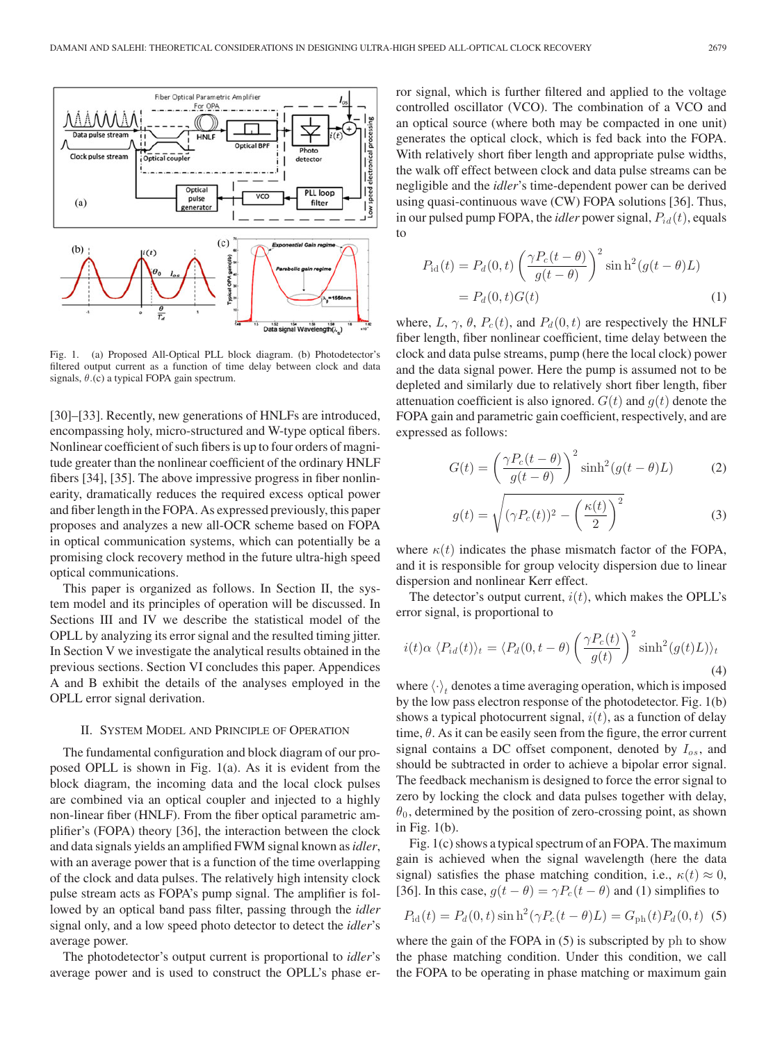

Fig. 1. (a) Proposed All-Optical PLL block diagram. (b) Photodetector's filtered output current as a function of time delay between clock and data signals,  $\theta$ .(c) a typical FOPA gain spectrum.

[30]–[33]. Recently, new generations of HNLFs are introduced, encompassing holy, micro-structured and W-type optical fibers. Nonlinear coefficient of such fibers is up to four orders of magnitude greater than the nonlinear coefficient of the ordinary HNLF fibers [34], [35]. The above impressive progress in fiber nonlinearity, dramatically reduces the required excess optical power and fiber length in the FOPA. As expressed previously, this paper proposes and analyzes a new all-OCR scheme based on FOPA in optical communication systems, which can potentially be a promising clock recovery method in the future ultra-high speed optical communications.

This paper is organized as follows. In Section II, the system model and its principles of operation will be discussed. In Sections III and IV we describe the statistical model of the OPLL by analyzing its error signal and the resulted timing jitter. In Section V we investigate the analytical results obtained in the previous sections. Section VI concludes this paper. Appendices A and B exhibit the details of the analyses employed in the OPLL error signal derivation.

#### II. SYSTEM MODEL AND PRINCIPLE OF OPERATION

The fundamental configuration and block diagram of our proposed OPLL is shown in Fig. 1(a). As it is evident from the block diagram, the incoming data and the local clock pulses are combined via an optical coupler and injected to a highly non-linear fiber (HNLF). From the fiber optical parametric amplifier's (FOPA) theory [36], the interaction between the clock and data signals yields an amplified FWM signal known as*idler*, with an average power that is a function of the time overlapping of the clock and data pulses. The relatively high intensity clock pulse stream acts as FOPA's pump signal. The amplifier is followed by an optical band pass filter, passing through the *idler* signal only, and a low speed photo detector to detect the *idler*'s average power.

The photodetector's output current is proportional to *idler*'s average power and is used to construct the OPLL's phase error signal, which is further filtered and applied to the voltage controlled oscillator (VCO). The combination of a VCO and an optical source (where both may be compacted in one unit) generates the optical clock, which is fed back into the FOPA. With relatively short fiber length and appropriate pulse widths, the walk off effect between clock and data pulse streams can be negligible and the *idler*'s time-dependent power can be derived using quasi-continuous wave (CW) FOPA solutions [36]. Thus, in our pulsed pump FOPA, the *idler* power signal,  $P_{id}(t)$ , equals to

$$
P_{\rm id}(t) = P_d(0, t) \left(\frac{\gamma P_c(t - \theta)}{g(t - \theta)}\right)^2 \sinh^2(g(t - \theta)L)
$$

$$
= P_d(0, t)G(t) \tag{1}
$$

where, L,  $\gamma$ ,  $\theta$ ,  $P_c(t)$ , and  $P_d(0,t)$  are respectively the HNLF fiber length, fiber nonlinear coefficient, time delay between the clock and data pulse streams, pump (here the local clock) power and the data signal power. Here the pump is assumed not to be depleted and similarly due to relatively short fiber length, fiber attenuation coefficient is also ignored.  $G(t)$  and  $g(t)$  denote the FOPA gain and parametric gain coefficient, respectively, and are expressed as follows:

$$
G(t) = \left(\frac{\gamma P_c(t-\theta)}{g(t-\theta)}\right)^2 \sinh^2(g(t-\theta)L)
$$
 (2)

$$
g(t) = \sqrt{(\gamma P_c(t))^2 - \left(\frac{\kappa(t)}{2}\right)^2} \tag{3}
$$

where  $\kappa(t)$  indicates the phase mismatch factor of the FOPA, and it is responsible for group velocity dispersion due to linear dispersion and nonlinear Kerr effect.

The detector's output current,  $i(t)$ , which makes the OPLL's error signal, is proportional to

$$
i(t)\alpha \langle P_{id}(t)\rangle_t = \langle P_d(0, t-\theta) \left(\frac{\gamma P_c(t)}{g(t)}\right)^2 \sinh^2(g(t)L)\rangle_t
$$
\n(4)

where  $\langle \cdot \rangle_t$  denotes a time averaging operation, which is imposed by the low pass electron response of the photodetector. Fig. 1(b) shows a typical photocurrent signal,  $i(t)$ , as a function of delay time,  $\theta$ . As it can be easily seen from the figure, the error current signal contains a DC offset component, denoted by  $I_{os}$ , and should be subtracted in order to achieve a bipolar error signal. The feedback mechanism is designed to force the error signal to zero by locking the clock and data pulses together with delay,  $\theta_0$ , determined by the position of zero-crossing point, as shown in Fig. 1(b).

Fig. 1(c) shows a typical spectrum of an FOPA. The maximum gain is achieved when the signal wavelength (here the data signal) satisfies the phase matching condition, i.e.,  $\kappa(t) \approx 0$ , [36]. In this case,  $g(t - \theta) = \gamma P_c(t - \theta)$  and (1) simplifies to

$$
P_{\rm id}(t) = P_d(0, t) \sinh^2(\gamma P_c(t - \theta)L) = G_{\rm ph}(t) P_d(0, t)
$$
 (5)

where the gain of the FOPA in  $(5)$  is subscripted by ph to show the phase matching condition. Under this condition, we call the FOPA to be operating in phase matching or maximum gain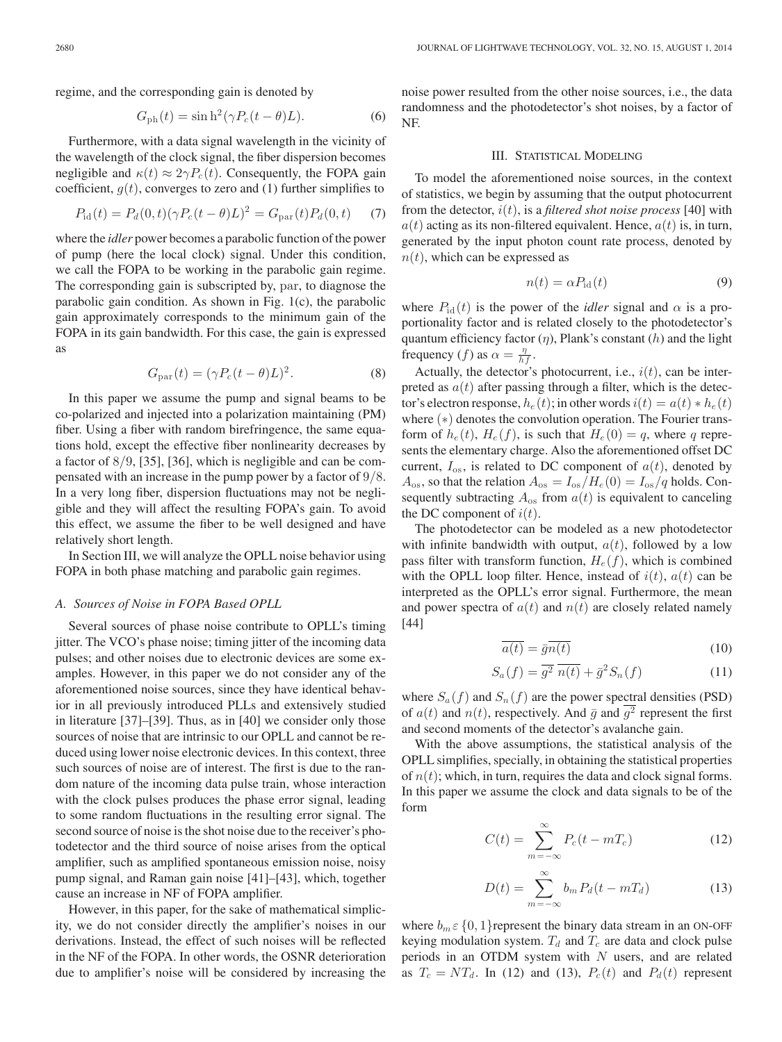regime, and the corresponding gain is denoted by

$$
G_{\rm ph}(t) = \sinh^2(\gamma P_c(t-\theta)L). \tag{6}
$$

Furthermore, with a data signal wavelength in the vicinity of the wavelength of the clock signal, the fiber dispersion becomes negligible and  $\kappa(t) \approx 2\gamma P_c(t)$ . Consequently, the FOPA gain coefficient,  $g(t)$ , converges to zero and (1) further simplifies to

$$
P_{\rm id}(t) = P_d(0, t)(\gamma P_c(t - \theta)L)^2 = G_{\rm par}(t)P_d(0, t) \tag{7}
$$

where the *idler* power becomes a parabolic function of the power of pump (here the local clock) signal. Under this condition, we call the FOPA to be working in the parabolic gain regime. The corresponding gain is subscripted by, par, to diagnose the parabolic gain condition. As shown in Fig. 1(c), the parabolic gain approximately corresponds to the minimum gain of the FOPA in its gain bandwidth. For this case, the gain is expressed as

$$
G_{\text{par}}(t) = (\gamma P_c(t - \theta)L)^2.
$$
 (8)

In this paper we assume the pump and signal beams to be co-polarized and injected into a polarization maintaining (PM) fiber. Using a fiber with random birefringence, the same equations hold, except the effective fiber nonlinearity decreases by a factor of 8/9, [35], [36], which is negligible and can be compensated with an increase in the pump power by a factor of 9/8. In a very long fiber, dispersion fluctuations may not be negligible and they will affect the resulting FOPA's gain. To avoid this effect, we assume the fiber to be well designed and have relatively short length.

In Section III, we will analyze the OPLL noise behavior using FOPA in both phase matching and parabolic gain regimes.

#### *A. Sources of Noise in FOPA Based OPLL*

Several sources of phase noise contribute to OPLL's timing jitter. The VCO's phase noise; timing jitter of the incoming data pulses; and other noises due to electronic devices are some examples. However, in this paper we do not consider any of the aforementioned noise sources, since they have identical behavior in all previously introduced PLLs and extensively studied in literature [37]–[39]. Thus, as in [40] we consider only those sources of noise that are intrinsic to our OPLL and cannot be reduced using lower noise electronic devices. In this context, three such sources of noise are of interest. The first is due to the random nature of the incoming data pulse train, whose interaction with the clock pulses produces the phase error signal, leading to some random fluctuations in the resulting error signal. The second source of noise is the shot noise due to the receiver's photodetector and the third source of noise arises from the optical amplifier, such as amplified spontaneous emission noise, noisy pump signal, and Raman gain noise [41]–[43], which, together cause an increase in NF of FOPA amplifier.

However, in this paper, for the sake of mathematical simplicity, we do not consider directly the amplifier's noises in our derivations. Instead, the effect of such noises will be reflected in the NF of the FOPA. In other words, the OSNR deterioration due to amplifier's noise will be considered by increasing the noise power resulted from the other noise sources, i.e., the data randomness and the photodetector's shot noises, by a factor of NF.

#### III. STATISTICAL MODELING

To model the aforementioned noise sources, in the context of statistics, we begin by assuming that the output photocurrent from the detector, i(t), is a *filtered shot noise process* [40] with  $a(t)$  acting as its non-filtered equivalent. Hence,  $a(t)$  is, in turn, generated by the input photon count rate process, denoted by  $n(t)$ , which can be expressed as

$$
n(t) = \alpha P_{\rm id}(t) \tag{9}
$$

where  $P_{\text{id}}(t)$  is the power of the *idler* signal and  $\alpha$  is a proportionality factor and is related closely to the photodetector's quantum efficiency factor  $(\eta)$ , Plank's constant  $(h)$  and the light frequency (f) as  $\alpha = \frac{\eta}{hf}$ .

Actually, the detector's photocurrent, i.e.,  $i(t)$ , can be interpreted as  $a(t)$  after passing through a filter, which is the detector's electron response,  $h_e(t)$ ; in other words  $i(t) = a(t) * h_e(t)$ where (∗) denotes the convolution operation. The Fourier transform of  $h_e(t)$ ,  $H_e(f)$ , is such that  $H_e(0) = q$ , where q represents the elementary charge. Also the aforementioned offset DC current,  $I_{\text{os}}$ , is related to DC component of  $a(t)$ , denoted by  $A_{\rm os}$ , so that the relation  $A_{\rm os} = I_{\rm os}/H_e(0) = I_{\rm os}/q$  holds. Consequently subtracting  $A_{\text{os}}$  from  $a(t)$  is equivalent to canceling the DC component of  $i(t)$ .

The photodetector can be modeled as a new photodetector with infinite bandwidth with output,  $a(t)$ , followed by a low pass filter with transform function,  $H_e(f)$ , which is combined with the OPLL loop filter. Hence, instead of  $i(t)$ ,  $a(t)$  can be interpreted as the OPLL's error signal. Furthermore, the mean and power spectra of  $a(t)$  and  $n(t)$  are closely related namely [44]

$$
a(t) = \bar{g}n(t) \tag{10}
$$

$$
S_a(f) = \overline{g^2} \overline{n(t)} + \overline{g}^2 S_n(f) \tag{11}
$$

where  $S_a(f)$  and  $S_n(f)$  are the power spectral densities (PSD) of  $a(t)$  and  $n(t)$ , respectively. And  $\bar{g}$  and  $g^2$  represent the first and second moments of the detector's avalanche gain.

With the above assumptions, the statistical analysis of the OPLL simplifies, specially, in obtaining the statistical properties of  $n(t)$ ; which, in turn, requires the data and clock signal forms. In this paper we assume the clock and data signals to be of the form

$$
C(t) = \sum_{m = -\infty}^{\infty} P_c(t - mT_c)
$$
 (12)

$$
D(t) = \sum_{m = -\infty}^{\infty} b_m P_d(t - mT_d)
$$
 (13)

where  $b_m \in \{0, 1\}$  represent the binary data stream in an ON-OFF keying modulation system.  $T_d$  and  $T_c$  are data and clock pulse periods in an OTDM system with  $N$  users, and are related as  $T_c = NT_d$ . In (12) and (13),  $P_c(t)$  and  $P_d(t)$  represent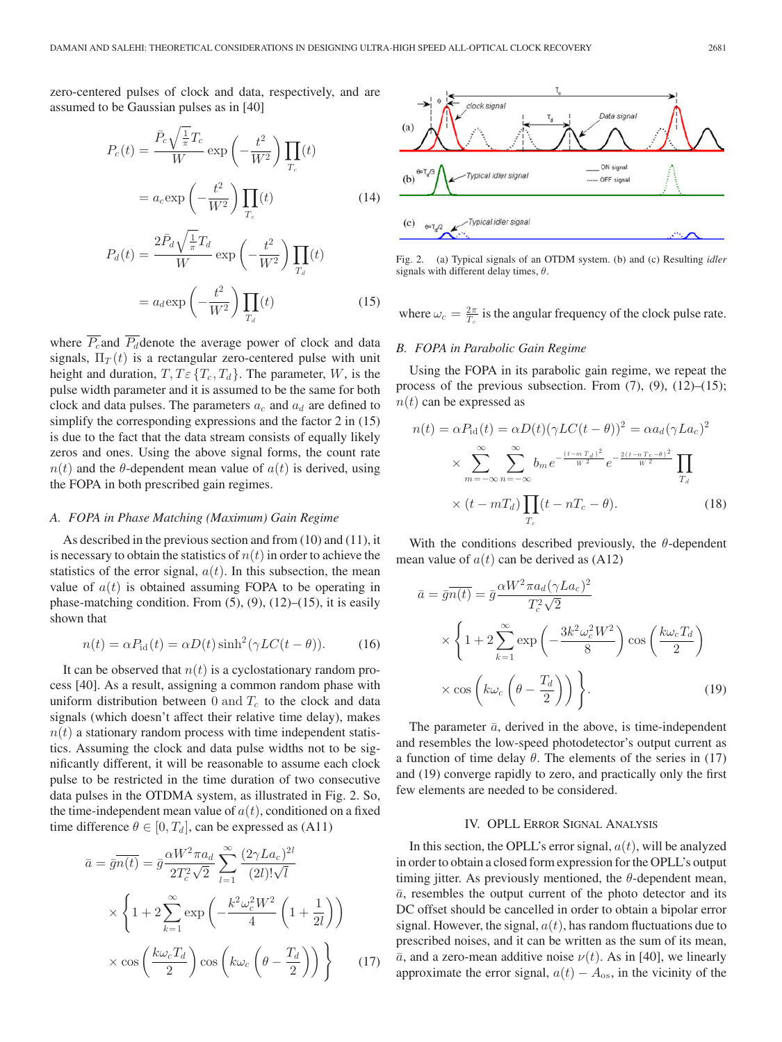zero-centered pulses of clock and data, respectively, and are assumed to be Gaussian pulses as in [40]

$$
P_c(t) = \frac{\bar{P}_c \sqrt{\frac{1}{\pi}} T_c}{W} \exp\left(-\frac{t^2}{W^2}\right) \prod_{T_c}(t)
$$

$$
= a_c \exp\left(-\frac{t^2}{W^2}\right) \prod(t)
$$
(14)

$$
=a_c \exp\left(-\frac{c}{W^2}\right) \prod_{T_c}(t)
$$
\n(14)

$$
P_d(t) = \frac{2\bar{P}_d\sqrt{\frac{1}{\pi}T_d}}{W} \exp\left(-\frac{t^2}{W^2}\right) \prod_{T_d}(t)
$$

$$
= a_d \exp\left(-\frac{t^2}{W^2}\right) \prod_{T_d}(t) \tag{15}
$$

where  $\overline{P_c}$  and  $\overline{P_d}$  denote the average power of clock and data signals,  $\Pi_T(t)$  is a rectangular zero-centered pulse with unit height and duration,  $T, T \in \{T_c, T_d\}$ . The parameter, W, is the pulse width parameter and it is assumed to be the same for both clock and data pulses. The parameters  $a_c$  and  $a_d$  are defined to simplify the corresponding expressions and the factor 2 in (15) is due to the fact that the data stream consists of equally likely zeros and ones. Using the above signal forms, the count rate  $n(t)$  and the  $\theta$ -dependent mean value of  $a(t)$  is derived, using the FOPA in both prescribed gain regimes.

#### *A. FOPA in Phase Matching (Maximum) Gain Regime*

As described in the previous section and from (10) and (11), it is necessary to obtain the statistics of  $n(t)$  in order to achieve the statistics of the error signal,  $a(t)$ . In this subsection, the mean value of  $a(t)$  is obtained assuming FOPA to be operating in phase-matching condition. From  $(5)$ ,  $(9)$ ,  $(12)$ – $(15)$ , it is easily shown that

$$
n(t) = \alpha P_{\rm id}(t) = \alpha D(t) \sinh^2(\gamma LC(t - \theta)). \tag{16}
$$

It can be observed that  $n(t)$  is a cyclostationary random process [40]. As a result, assigning a common random phase with uniform distribution between  $0$  and  $T_c$  to the clock and data signals (which doesn't affect their relative time delay), makes  $n(t)$  a stationary random process with time independent statistics. Assuming the clock and data pulse widths not to be significantly different, it will be reasonable to assume each clock pulse to be restricted in the time duration of two consecutive data pulses in the OTDMA system, as illustrated in Fig. 2. So, the time-independent mean value of  $a(t)$ , conditioned on a fixed time difference  $\theta \in [0, T_d]$ , can be expressed as (A11)

$$
\bar{a} = \bar{g}\overline{n(t)} = \bar{g}\frac{\alpha W^2 \pi a_d}{2T_c^2 \sqrt{2}} \sum_{l=1}^{\infty} \frac{(2\gamma La_c)^{2l}}{(2l)!\sqrt{l}}
$$

$$
\times \left\{ 1 + 2 \sum_{k=1}^{\infty} \exp\left(-\frac{k^2 \omega_c^2 W^2}{4} \left(1 + \frac{1}{2l}\right)\right) \right\}
$$

$$
\times \cos\left(\frac{k\omega_c T_d}{2}\right) \cos\left(k\omega_c \left(\theta - \frac{T_d}{2}\right)\right) \right\} \qquad (17)
$$



Fig. 2. (a) Typical signals of an OTDM system. (b) and (c) Resulting *idler* signals with different delay times,  $\theta$ .

where  $\omega_c = \frac{2\pi}{T_c}$  is the angular frequency of the clock pulse rate.

#### *B. FOPA in Parabolic Gain Regime*

Using the FOPA in its parabolic gain regime, we repeat the process of the previous subsection. From  $(7)$ ,  $(9)$ ,  $(12)$ – $(15)$ ;  $n(t)$  can be expressed as

$$
n(t) = \alpha P_{\text{id}}(t) = \alpha D(t)(\gamma LC(t - \theta))^2 = \alpha a_d (\gamma La_c)^2
$$
  
 
$$
\times \sum_{m = -\infty}^{\infty} \sum_{n = -\infty}^{\infty} b_m e^{-\frac{(t - m T_d)^2}{W^2}} e^{-\frac{2(t - n T_c - \theta)^2}{W^2}} \prod_{T_d}
$$
  
 
$$
\times (t - m T_d) \prod_{T_c} (t - n T_c - \theta).
$$
 (18)

With the conditions described previously, the  $\theta$ -dependent mean value of  $a(t)$  can be derived as (A12)

$$
\bar{a} = \bar{g}\overline{n(t)} = \bar{g}\frac{\alpha W^2 \pi a_d (\gamma La_c)^2}{T_c^2 \sqrt{2}}
$$

$$
\times \left\{ 1 + 2 \sum_{k=1}^{\infty} \exp\left(-\frac{3k^2 \omega_c^2 W^2}{8}\right) \cos\left(\frac{k\omega_c T_d}{2}\right) \right\}
$$

$$
\times \cos\left(k\omega_c \left(\theta - \frac{T_d}{2}\right)\right) \left\}.
$$
(19)

The parameter  $\bar{a}$ , derived in the above, is time-independent and resembles the low-speed photodetector's output current as a function of time delay  $\theta$ . The elements of the series in (17) and (19) converge rapidly to zero, and practically only the first few elements are needed to be considered.

## IV. OPLL ERROR SIGNAL ANALYSIS

In this section, the OPLL's error signal,  $a(t)$ , will be analyzed in order to obtain a closed form expression for the OPLL's output timing jitter. As previously mentioned, the  $\theta$ -dependent mean,  $\bar{a}$ , resembles the output current of the photo detector and its DC offset should be cancelled in order to obtain a bipolar error signal. However, the signal,  $a(t)$ , has random fluctuations due to prescribed noises, and it can be written as the sum of its mean,  $\bar{a}$ , and a zero-mean additive noise  $\nu(t)$ . As in [40], we linearly approximate the error signal,  $a(t) - A_{\text{os}}$ , in the vicinity of the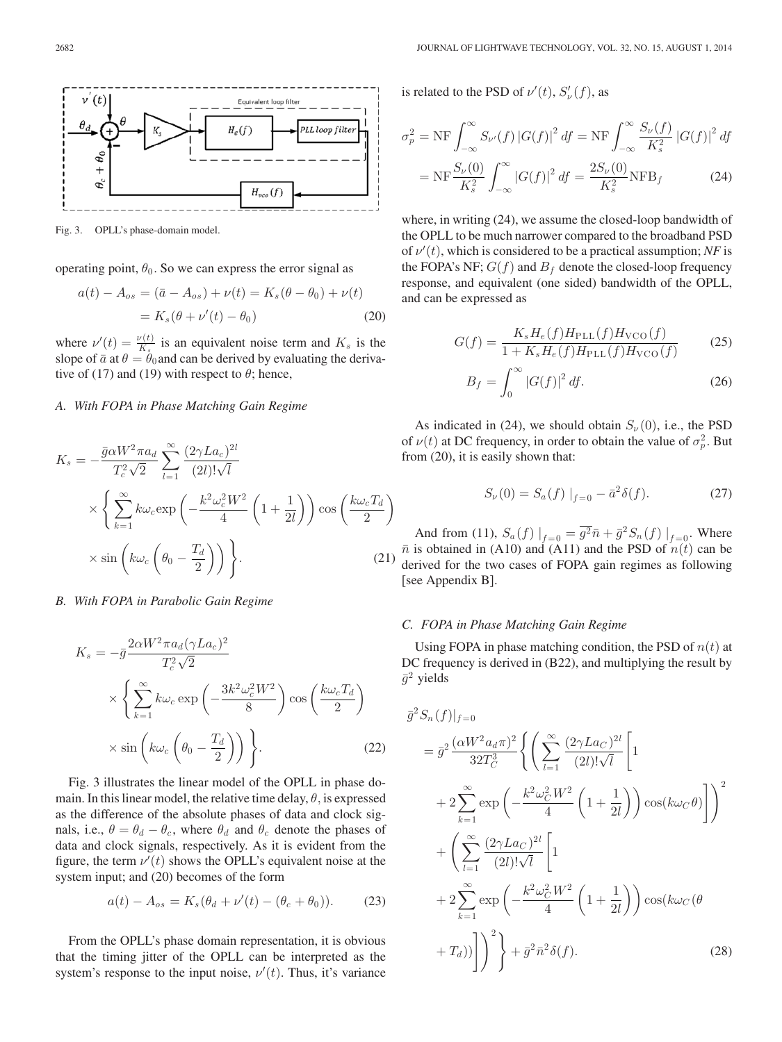

Fig. 3. OPLL's phase-domain model.

operating point,  $\theta_0$ . So we can express the error signal as

$$
a(t) - A_{os} = (\bar{a} - A_{os}) + \nu(t) = K_s(\theta - \theta_0) + \nu(t)
$$
  
=  $K_s(\theta + \nu'(t) - \theta_0)$  (20)

where  $\nu'(t) = \frac{\nu(t)}{K_s}$  is an equivalent noise term and  $K_s$  is the slope of  $\bar{a}$  at  $\theta = \bar{\theta}_0$  and can be derived by evaluating the derivative of (17) and (19) with respect to  $\theta$ ; hence,

## *A. With FOPA in Phase Matching Gain Regime*

$$
K_s = -\frac{\bar{g}\alpha W^2 \pi a_d}{T_c^2 \sqrt{2}} \sum_{l=1}^{\infty} \frac{(2\gamma La_c)^{2l}}{(2l)!\sqrt{l}}
$$
  
 
$$
\times \left\{ \sum_{k=1}^{\infty} k\omega_c \exp\left(-\frac{k^2 \omega_c^2 W^2}{4}\left(1 + \frac{1}{2l}\right)\right) \cos\left(\frac{k\omega_c T_d}{2}\right) \right\}
$$
  
 
$$
\times \sin\left(k\omega_c \left(\theta_0 - \frac{T_d}{2}\right)\right) \right\}.
$$
 (21)

## *B. With FOPA in Parabolic Gain Regime*

$$
K_s = -\bar{g} \frac{2\alpha W^2 \pi a_d (\gamma La_c)^2}{T_c^2 \sqrt{2}}
$$
  
 
$$
\times \left\{ \sum_{k=1}^{\infty} k \omega_c \exp\left(-\frac{3k^2 \omega_c^2 W^2}{8}\right) \cos\left(\frac{k \omega_c T_d}{2}\right) \right\}
$$
  
 
$$
\times \sin\left(k \omega_c \left(\theta_0 - \frac{T_d}{2}\right)\right) \left\}.
$$
 (22)

Fig. 3 illustrates the linear model of the OPLL in phase domain. In this linear model, the relative time delay,  $\theta$ , is expressed as the difference of the absolute phases of data and clock signals, i.e.,  $\theta = \theta_d - \theta_c$ , where  $\theta_d$  and  $\theta_c$  denote the phases of data and clock signals, respectively. As it is evident from the figure, the term  $\nu'(t)$  shows the OPLL's equivalent noise at the system input; and (20) becomes of the form

$$
a(t) - A_{os} = K_s(\theta_d + \nu'(t) - (\theta_c + \theta_0)).
$$
 (23)

From the OPLL's phase domain representation, it is obvious that the timing jitter of the OPLL can be interpreted as the system's response to the input noise,  $\nu'(t)$ . Thus, it's variance

is related to the PSD of  $\nu'(t)$ ,  $S'_\nu(f)$ , as

$$
\sigma_p^2 = \text{NF} \int_{-\infty}^{\infty} S_{\nu'}(f) |G(f)|^2 df = \text{NF} \int_{-\infty}^{\infty} \frac{S_{\nu}(f)}{K_s^2} |G(f)|^2 df
$$

$$
= \text{NF} \frac{S_{\nu}(0)}{K_s^2} \int_{-\infty}^{\infty} |G(f)|^2 df = \frac{2S_{\nu}(0)}{K_s^2} \text{NFB}_f \tag{24}
$$

where, in writing (24), we assume the closed-loop bandwidth of the OPLL to be much narrower compared to the broadband PSD of  $\nu'(t)$ , which is considered to be a practical assumption; *NF* is the FOPA's NF;  $G(f)$  and  $B_f$  denote the closed-loop frequency response, and equivalent (one sided) bandwidth of the OPLL, and can be expressed as

$$
G(f) = \frac{K_s H_e(f) H_{\rm PLL}(f) H_{\rm VCO}(f)}{1 + K_s H_e(f) H_{\rm PLL}(f) H_{\rm VCO}(f)}\tag{25}
$$

$$
B_f = \int_0^\infty |G(f)|^2 \, df. \tag{26}
$$

As indicated in (24), we should obtain  $S_{\nu}(0)$ , i.e., the PSD of  $\nu(t)$  at DC frequency, in order to obtain the value of  $\sigma_p^2$ . But from (20), it is easily shown that:

$$
S_{\nu}(0) = S_a(f) |_{f=0} - \bar{a}^2 \delta(f). \tag{27}
$$

And from (11),  $S_a(f) |_{f=0} = \overline{g^2} \bar{n} + \bar{g}^2 S_n(f) |_{f=0}$ . Where  $\bar{n}$  is obtained in (A10) and (A11) and the PSD of  $n(t)$  can be derived for the two cases of FOPA gain regimes as following [see Appendix B].

#### *C. FOPA in Phase Matching Gain Regime*

Using FOPA in phase matching condition, the PSD of  $n(t)$  at DC frequency is derived in (B22), and multiplying the result by  $\bar{g}^2$  yields

$$
\overline{g}^{2}S_{n}(f)|_{f=0}
$$
\n
$$
= \overline{g}^{2} \frac{(\alpha W^{2}a_{d}\pi)^{2}}{32T_{C}^{3}} \left\{ \left( \sum_{l=1}^{\infty} \frac{(2\gamma La_{C})^{2l}}{(2l)!\sqrt{l}} \left[ 1 + 2 \sum_{k=1}^{\infty} \exp\left( -\frac{k^{2}\omega_{C}^{2}W^{2}}{4} \left( 1 + \frac{1}{2l} \right) \right) \cos(k\omega_{C}\theta) \right] \right\}^{2}
$$
\n
$$
+ \left( \sum_{l=1}^{\infty} \frac{(2\gamma La_{C})^{2l}}{(2l)!\sqrt{l}} \left[ 1 + 2 \sum_{k=1}^{\infty} \exp\left( -\frac{k^{2}\omega_{C}^{2}W^{2}}{4} \left( 1 + \frac{1}{2l} \right) \right) \cos(k\omega_{C}(\theta + T_{d})) \right] \right)^{2}
$$
\n
$$
+ \overline{g}^{2}\bar{n}^{2}\delta(f). \qquad (28)
$$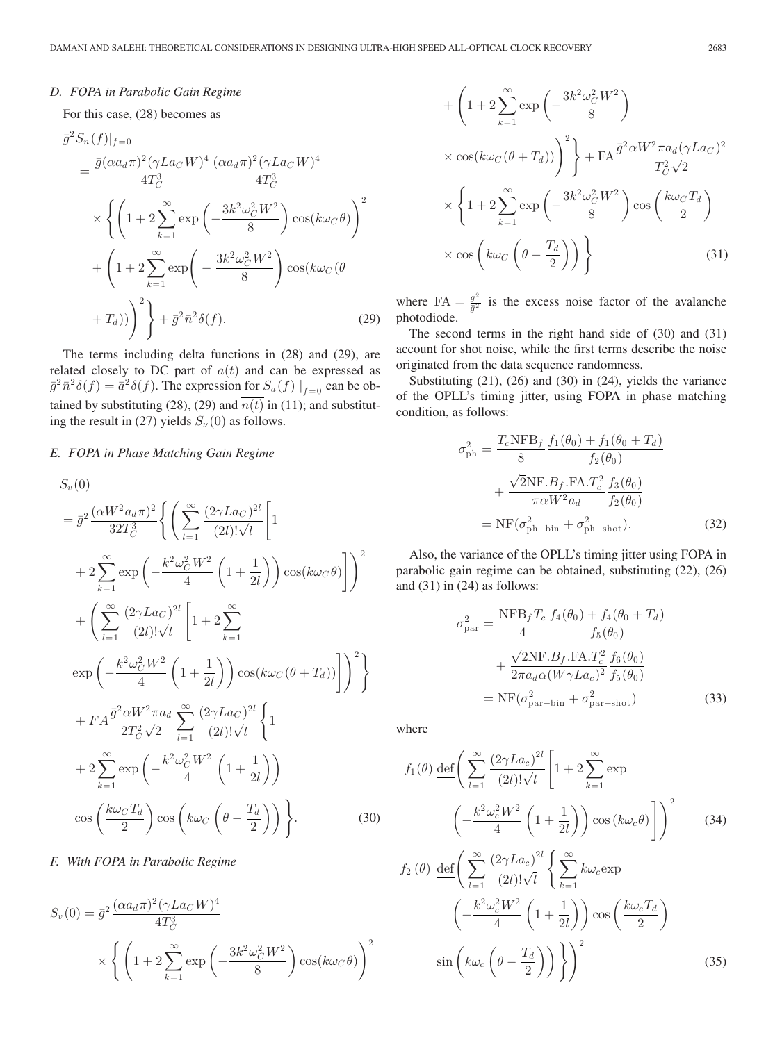# *D. FOPA in Parabolic Gain Regime*

For this case, (28) becomes as

$$
\bar{g}^{2}S_{n}(f)|_{f=0}
$$
\n
$$
= \frac{\bar{g}(\alpha a_{d}\pi)^{2}(\gamma La_{C}W)^{4}}{4T_{C}^{3}}\frac{(\alpha a_{d}\pi)^{2}(\gamma La_{C}W)^{4}}{4T_{C}^{3}}
$$
\n
$$
\times \left\{ \left( 1 + 2\sum_{k=1}^{\infty} \exp\left( -\frac{3k^{2}\omega_{C}^{2}W^{2}}{8} \right) \cos(k\omega_{C}\theta) \right)^{2} + \left( 1 + 2\sum_{k=1}^{\infty} \exp\left( -\frac{3k^{2}\omega_{C}^{2}W^{2}}{8} \right) \cos(k\omega_{C}(\theta
$$
\n
$$
+ T_{d}) \right) \right\}^{2} + \bar{g}^{2}\bar{n}^{2}\delta(f). \tag{29}
$$

The terms including delta functions in (28) and (29), are related closely to DC part of  $a(t)$  and can be expressed as  $\bar{g}^2 \bar{n}^2 \delta(f) = \bar{a}^2 \delta(f)$ . The expression for  $S_a (f) |_{f=0}$  can be obtained by substituting (28), (29) and  $\overline{n(t)}$  in (11); and substituting the result in (27) yields  $S_{\nu}(0)$  as follows.

## *E. FOPA in Phase Matching Gain Regime*

$$
S_v(0)
$$
  
\n
$$
= \bar{g}^2 \frac{(\alpha W^2 a_d \pi)^2}{32T_C^3} \left\{ \left( \sum_{l=1}^{\infty} \frac{(2\gamma La_C)^{2l}}{(2l)!\sqrt{l}} \left[ 1 + 2 \sum_{k=1}^{\infty} \exp\left( -\frac{k^2 \omega_C^2 W^2}{4} \left( 1 + \frac{1}{2l} \right) \right) \cos(k\omega_C \theta) \right] \right\}^2
$$
  
\n
$$
+ \left( \sum_{l=1}^{\infty} \frac{(2\gamma La_C)^{2l}}{(2l)!\sqrt{l}} \left[ 1 + 2 \sum_{k=1}^{\infty} \exp\left( -\frac{k^2 \omega_C^2 W^2}{4} \left( 1 + \frac{1}{2l} \right) \right) \cos(k\omega_C (\theta + T_d)) \right] \right)^2 \right\}
$$
  
\n
$$
+ FA \frac{\bar{g}^2 \alpha W^2 \pi a_d}{2T_C^2 \sqrt{2}} \sum_{l=1}^{\infty} \frac{(2\gamma La_C)^{2l}}{(2l)!\sqrt{l}} \left\{ 1 + 2 \sum_{k=1}^{\infty} \exp\left( -\frac{k^2 \omega_C^2 W^2}{4} \left( 1 + \frac{1}{2l} \right) \right) \right\}
$$
  
\n
$$
+ 2 \sum_{k=1}^{\infty} \exp\left( -\frac{k^2 \omega_C^2 W^2}{4} \left( 1 + \frac{1}{2l} \right) \right)
$$
  
\n
$$
\cos\left( \frac{k\omega_C T_d}{2} \right) \cos\left( k\omega_C \left( \theta - \frac{T_d}{2} \right) \right) \right\}.
$$
 (30)

# *F. With FOPA in Parabolic Regime*

$$
S_v(0) = \bar{g}^2 \frac{(\alpha a_d \pi)^2 (\gamma La_C W)^4}{4T_C^3}
$$

$$
\times \left\{ \left( 1 + 2 \sum_{k=1}^{\infty} \exp\left( -\frac{3k^2 \omega_C^2 W^2}{8} \right) \cos(k\omega_C \theta) \right)^2 \right\}
$$

$$
+\left(1+2\sum_{k=1}^{\infty}\exp\left(-\frac{3k^2\omega_C^2W^2}{8}\right)\right)
$$

$$
\times\cos(k\omega_C(\theta+T_d))\bigg)^2\bigg\}+FA\frac{\bar{g}^2\alpha W^2\pi a_d(\gamma La_C)^2}{T_C^2\sqrt{2}}
$$

$$
\times\left\{1+2\sum_{k=1}^{\infty}\exp\left(-\frac{3k^2\omega_C^2W^2}{8}\right)\cos\left(\frac{k\omega_C T_d}{2}\right)\right)
$$

$$
\times\cos\left(k\omega_C\left(\theta-\frac{T_d}{2}\right)\right)\bigg\}
$$
(31)

where  $FA = \frac{g^2}{\bar{g}^2}$  is the excess noise factor of the avalanche photodiode.

The second terms in the right hand side of (30) and (31) account for shot noise, while the first terms describe the noise originated from the data sequence randomness.

Substituting (21), (26) and (30) in (24), yields the variance of the OPLL's timing jitter, using FOPA in phase matching condition, as follows:

$$
\sigma_{\rm ph}^{2} = \frac{T_{c} \text{NFB}_{f}}{8} \frac{f_{1}(\theta_{0}) + f_{1}(\theta_{0} + T_{d})}{f_{2}(\theta_{0})} + \frac{\sqrt{2} \text{NF} \cdot B_{f} \cdot \text{FA} \cdot T_{c}^{2}}{\pi \alpha W^{2} a_{d}} \frac{f_{3}(\theta_{0})}{f_{2}(\theta_{0})} = \text{NF}(\sigma_{\rm ph-bin}^{2} + \sigma_{\rm ph-shot}^{2}).
$$
\n(32)

Also, the variance of the OPLL's timing jitter using FOPA in parabolic gain regime can be obtained, substituting (22), (26) and  $(31)$  in  $(24)$  as follows:

$$
\sigma_{\text{par}}^{2} = \frac{\text{NFB}_{f}T_{c}}{4} \frac{f_{4}(\theta_{0}) + f_{4}(\theta_{0} + T_{d})}{f_{5}(\theta_{0})} + \frac{\sqrt{2}\text{NF}.B_{f}.\text{FA}.T_{c}^{2}}{2\pi a_{d}\alpha (W\gamma La_{c})^{2}} \frac{f_{6}(\theta_{0})}{f_{5}(\theta_{0})} = \text{NF}(\sigma_{\text{par-bin}}^{2} + \sigma_{\text{par-shot}}^{2})
$$
(33)

where

$$
f_1(\theta) \underbrace{\det}_{l=1} \left( \sum_{l=1}^{\infty} \frac{(2\gamma La_c)^{2l}}{(2l)!\sqrt{l}} \left[ 1 + 2 \sum_{k=1}^{\infty} \exp \left( -\frac{k^2 \omega_c^2 W^2}{4} \left( 1 + \frac{1}{2l} \right) \right) \cos \left( k \omega_c \theta \right) \right] \right)^2
$$
 (34)

$$
f_2(\theta) \underbrace{\det}_{l=1} \left( \sum_{l=1}^{\infty} \frac{(2\gamma La_c)^{2l}}{(2l)! \sqrt{l}} \left\{ \sum_{k=1}^{\infty} k\omega_c \exp \left( -\frac{k^2 \omega_c^2 W^2}{4} \left( 1 + \frac{1}{2l} \right) \right) \cos \left( \frac{k\omega_c T_d}{2} \right) \right. \n\left. \sin \left( k\omega_c \left( \theta - \frac{T_d}{2} \right) \right) \right\}^2 \tag{35}
$$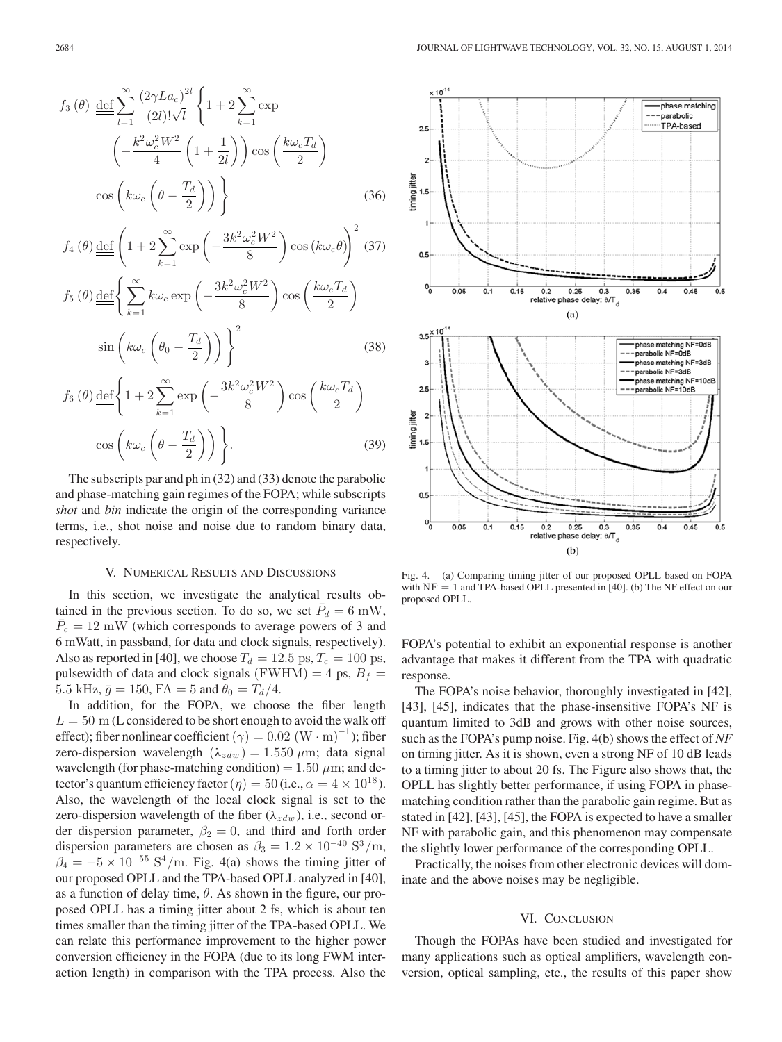$$
f_3(\theta) \underbrace{\det}_{l=1} \sum_{l=1}^{\infty} \frac{(2\gamma La_c)^{2l}}{(2l)!\sqrt{l}} \left\{ 1 + 2 \sum_{k=1}^{\infty} \exp\left(-\frac{k^2 \omega_c^2 W^2}{4} \left(1 + \frac{1}{2l}\right)\right) \cos\left(\frac{k\omega_c T_d}{2}\right) \right\}
$$
\n
$$
\cos\left(k\omega_c \left(\theta - \frac{T_d}{2}\right)\right) \right\}
$$
\n(36)

$$
f_4(\theta) \underline{\text{def}} \left( 1 + 2 \sum_{k=1}^{\infty} \exp\left( -\frac{3k^2 \omega_c^2 W^2}{8} \right) \cos\left( k \omega_c \theta \right) \right)^2 \tag{37}
$$

$$
f_5(\theta) \underbrace{\det}_{k=1} \left\{ \sum_{k=1}^{\infty} k \omega_c \exp\left(-\frac{3k^2 \omega_c^2 W^2}{8}\right) \cos\left(\frac{k \omega_c T_d}{2}\right) \right\}^2
$$
\n
$$
\sin\left(k \omega_c \left(\theta_0 - \frac{T_d}{2}\right)\right) \bigg\}^2
$$
\n(38)

$$
f_6(\theta) \underbrace{\det}_{\text{des}} \left\{ 1 + 2 \sum_{k=1}^{\infty} \exp\left(-\frac{3k^2 \omega_c^2 W^2}{8}\right) \cos\left(\frac{k\omega_c T_d}{2}\right) \right. \\
\text{cos}\left(k\omega_c \left(\theta - \frac{T_d}{2}\right)\right) \left.\right\}.
$$
\n(39)

The subscripts par and ph in (32) and (33) denote the parabolic and phase-matching gain regimes of the FOPA; while subscripts *shot* and *bin* indicate the origin of the corresponding variance terms, i.e., shot noise and noise due to random binary data, respectively.

#### V. NUMERICAL RESULTS AND DISCUSSIONS

In this section, we investigate the analytical results obtained in the previous section. To do so, we set  $P_d = 6$  mW,  $\overline{P}_c = 12$  mW (which corresponds to average powers of 3 and 6 mWatt, in passband, for data and clock signals, respectively). Also as reported in [40], we choose  $T_d = 12.5 \text{ ps}, T_c = 100 \text{ ps},$ pulsewidth of data and clock signals (FWHM) = 4 ps,  $B_f$  = 5.5 kHz,  $\bar{g} = 150$ , FA = 5 and  $\theta_0 = T_d/4$ .

In addition, for the FOPA, we choose the fiber length  $L = 50$  m (L considered to be short enough to avoid the walk off effect); fiber nonlinear coefficient  $(\gamma) = 0.02 \, (\text{W} \cdot \text{m})^{-1}$ ); fiber zero-dispersion wavelength  $(\lambda_{zdw})=1.550 \ \mu \text{m}$ ; data signal wavelength (for phase-matching condition) =  $1.50 \mu$ m; and detector's quantum efficiency factor ( $\eta$ ) = 50 (i.e.,  $\alpha = 4 \times 10^{18}$ ). Also, the wavelength of the local clock signal is set to the zero-dispersion wavelength of the fiber  $(\lambda_{zdw})$ , i.e., second order dispersion parameter,  $\beta_2 = 0$ , and third and forth order dispersion parameters are chosen as  $\beta_3 = 1.2 \times 10^{-40}$  S<sup>3</sup>/m,  $\beta_4 = -5 \times 10^{-55}$  S<sup>4</sup>/m. Fig. 4(a) shows the timing jitter of our proposed OPLL and the TPA-based OPLL analyzed in [40], as a function of delay time,  $\theta$ . As shown in the figure, our proposed OPLL has a timing jitter about 2 fs, which is about ten times smaller than the timing jitter of the TPA-based OPLL. We can relate this performance improvement to the higher power conversion efficiency in the FOPA (due to its long FWM interaction length) in comparison with the TPA process. Also the



Fig. 4. (a) Comparing timing jitter of our proposed OPLL based on FOPA with NF = 1 and TPA-based OPLL presented in [40]. (b) The NF effect on our proposed OPLL.

FOPA's potential to exhibit an exponential response is another advantage that makes it different from the TPA with quadratic response.

The FOPA's noise behavior, thoroughly investigated in [42], [43], [45], indicates that the phase-insensitive FOPA's NF is quantum limited to 3dB and grows with other noise sources, such as the FOPA's pump noise. Fig. 4(b) shows the effect of *NF* on timing jitter. As it is shown, even a strong NF of 10 dB leads to a timing jitter to about 20 fs. The Figure also shows that, the OPLL has slightly better performance, if using FOPA in phasematching condition rather than the parabolic gain regime. But as stated in [42], [43], [45], the FOPA is expected to have a smaller NF with parabolic gain, and this phenomenon may compensate the slightly lower performance of the corresponding OPLL.

Practically, the noises from other electronic devices will dominate and the above noises may be negligible.

#### VI. CONCLUSION

Though the FOPAs have been studied and investigated for many applications such as optical amplifiers, wavelength conversion, optical sampling, etc., the results of this paper show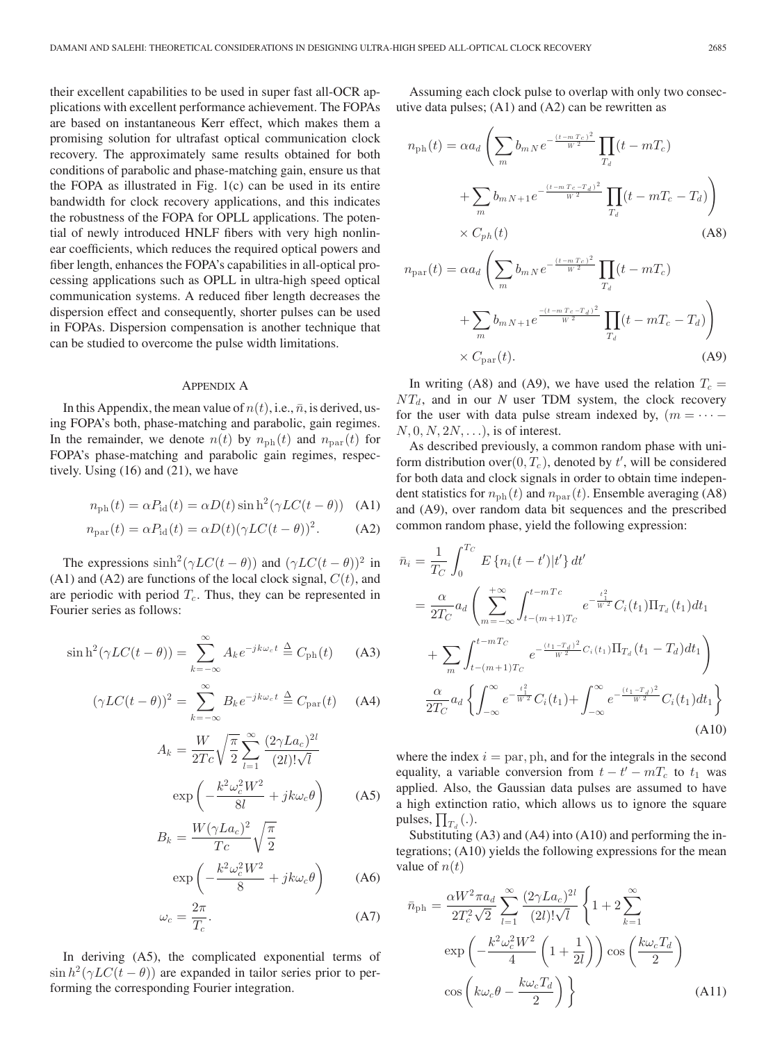their excellent capabilities to be used in super fast all-OCR applications with excellent performance achievement. The FOPAs are based on instantaneous Kerr effect, which makes them a promising solution for ultrafast optical communication clock recovery. The approximately same results obtained for both conditions of parabolic and phase-matching gain, ensure us that the FOPA as illustrated in Fig. 1(c) can be used in its entire bandwidth for clock recovery applications, and this indicates the robustness of the FOPA for OPLL applications. The potential of newly introduced HNLF fibers with very high nonlinear coefficients, which reduces the required optical powers and fiber length, enhances the FOPA's capabilities in all-optical processing applications such as OPLL in ultra-high speed optical communication systems. A reduced fiber length decreases the dispersion effect and consequently, shorter pulses can be used in FOPAs. Dispersion compensation is another technique that can be studied to overcome the pulse width limitations.

#### APPENDIX A

In this Appendix, the mean value of  $n(t)$ , i.e.,  $\bar{n}$ , is derived, using FOPA's both, phase-matching and parabolic, gain regimes. In the remainder, we denote  $n(t)$  by  $n_{\text{ph}}(t)$  and  $n_{\text{par}}(t)$  for FOPA's phase-matching and parabolic gain regimes, respectively. Using (16) and (21), we have

$$
n_{\rm ph}(t) = \alpha P_{\rm id}(t) = \alpha D(t) \sinh^2(\gamma LC(t - \theta))
$$
 (A1)

$$
n_{\text{par}}(t) = \alpha P_{\text{id}}(t) = \alpha D(t)(\gamma LC(t - \theta))^2. \tag{A2}
$$

The expressions  $\sinh^2(\gamma LC(t - \theta))$  and  $(\gamma LC(t - \theta))^2$  in  $(A1)$  and  $(A2)$  are functions of the local clock signal,  $C(t)$ , and are periodic with period  $T_c$ . Thus, they can be represented in Fourier series as follows:

$$
\sinh^2(\gamma LC(t-\theta)) = \sum_{k=-\infty}^{\infty} A_k e^{-jk\omega_c t} \stackrel{\Delta}{=} C_{\text{ph}}(t) \quad (A3)
$$

$$
(\gamma LC(t - \theta))^2 = \sum_{k=-\infty}^{\infty} B_k e^{-jk\omega_c t} \stackrel{\Delta}{=} C_{\text{par}}(t) \quad \text{(A4)}
$$

$$
A_k = \frac{W}{2Tc} \sqrt{\frac{\pi}{2}} \sum_{l=1}^{\infty} \frac{(2\gamma La_c)^{2l}}{(2l)!\sqrt{l}}
$$

$$
\exp\left(-\frac{k^2 \omega_c^2 W^2}{8l} + j k \omega_c \theta\right) \tag{A5}
$$

$$
B_k = \frac{W(\gamma La_c)^2}{Tc} \sqrt{\frac{\pi}{2}}
$$

$$
\exp\left(-\frac{k^2 \omega_c^2 W^2}{8} + j k \omega_c \theta\right) \tag{A6}
$$

$$
2\pi \t\t\t 8 \t\t 7^{n\omega_c \nu} \t\t (A0)
$$

$$
\omega_c = \frac{2\pi}{T_c}.\tag{A7}
$$

In deriving (A5), the complicated exponential terms of  $\sin h^2(\gamma LC(t - \theta))$  are expanded in tailor series prior to performing the corresponding Fourier integration.

Assuming each clock pulse to overlap with only two consecutive data pulses;  $(A1)$  and  $(A2)$  can be rewritten as

$$
n_{\rm ph}(t) = \alpha a_d \left( \sum_m b_{mN} e^{-\frac{(t - m T_c)^2}{W^2}} \prod_{T_d} (t - mT_c) + \sum_m b_{mN+1} e^{-\frac{(t - m T_c - T_d)^2}{W^2}} \prod_{T_d} (t - mT_c - T_d) \right)
$$
  

$$
\times C_{ph}(t) \tag{A8}
$$
  

$$
n_{\rm par}(t) = \alpha a_d \left( \sum_m b_{mN} e^{-\frac{(t - m T_c)^2}{W^2}} \prod_{T_d} (t - mT_c) + \sum b_{mN+1} e^{\frac{-(t - m T_c - T_d)^2}{W^2}} \prod_{T_d} (t - mT_c - T_d) \right)
$$

$$
m \t T_d \t 7
$$
  
×  $C_{par}(t)$ . (A9)

In writing (A8) and (A9), we have used the relation  $T_c$  =  $NT_d$ , and in our *N* user TDM system, the clock recovery for the user with data pulse stream indexed by,  $(m = \cdots$  $N, 0, N, 2N, \ldots$ , is of interest.

As described previously, a common random phase with uniform distribution over  $(0, T_c)$ , denoted by  $t'$ , will be considered for both data and clock signals in order to obtain time independent statistics for  $n_{ph}(t)$  and  $n_{par}(t)$ . Ensemble averaging (A8) and (A9), over random data bit sequences and the prescribed common random phase, yield the following expression:

$$
\bar{n}_{i} = \frac{1}{T_{C}} \int_{0}^{T_{C}} E\left\{n_{i}(t-t')|t'\right\} dt'
$$
\n
$$
= \frac{\alpha}{2T_{C}} a_{d} \left( \sum_{m=-\infty}^{+\infty} \int_{t-(m+1)T_{C}}^{t-mT_{C}} e^{-\frac{t_{1}^{2}}{W^{2}}} C_{i}(t_{1}) \Pi_{T_{d}}(t_{1}) dt_{1} + \sum_{m} \int_{t-(m+1)T_{C}}^{t-mT_{C}} e^{-\frac{(t_{1}-T_{d})^{2}}{W^{2}}} C_{i}(t_{1}) \Pi_{T_{d}}(t_{1}-T_{d}) dt_{1} \right)
$$
\n
$$
\frac{\alpha}{2T_{C}} a_{d} \left\{ \int_{-\infty}^{\infty} e^{-\frac{t_{1}^{2}}{W^{2}}} C_{i}(t_{1}) + \int_{-\infty}^{\infty} e^{-\frac{(t_{1}-T_{d})^{2}}{W^{2}}} C_{i}(t_{1}) dt_{1} \right\}
$$
\n(A10)

where the index  $i =$  par, ph, and for the integrals in the second equality, a variable conversion from  $t - t' - mT_c$  to  $t_1$  was applied. Also, the Gaussian data pulses are assumed to have a high extinction ratio, which allows us to ignore the square pulses,  $\prod_{T_d} (.)$ .

Substituting (A3) and (A4) into (A10) and performing the integrations; (A10) yields the following expressions for the mean value of  $n(t)$ 

$$
\bar{n}_{\rm ph} = \frac{\alpha W^2 \pi a_d}{2T_c^2 \sqrt{2}} \sum_{l=1}^{\infty} \frac{(2\gamma La_c)^{2l}}{(2l)!\sqrt{l}} \left\{ 1 + 2 \sum_{k=1}^{\infty} \exp\left(-\frac{k^2 \omega_c^2 W^2}{4} \left(1 + \frac{1}{2l}\right)\right) \cos\left(\frac{k\omega_c T_d}{2}\right) \right\}
$$
\n
$$
\cos\left(k\omega_c \theta - \frac{k\omega_c T_d}{2}\right) \right\} \tag{A11}
$$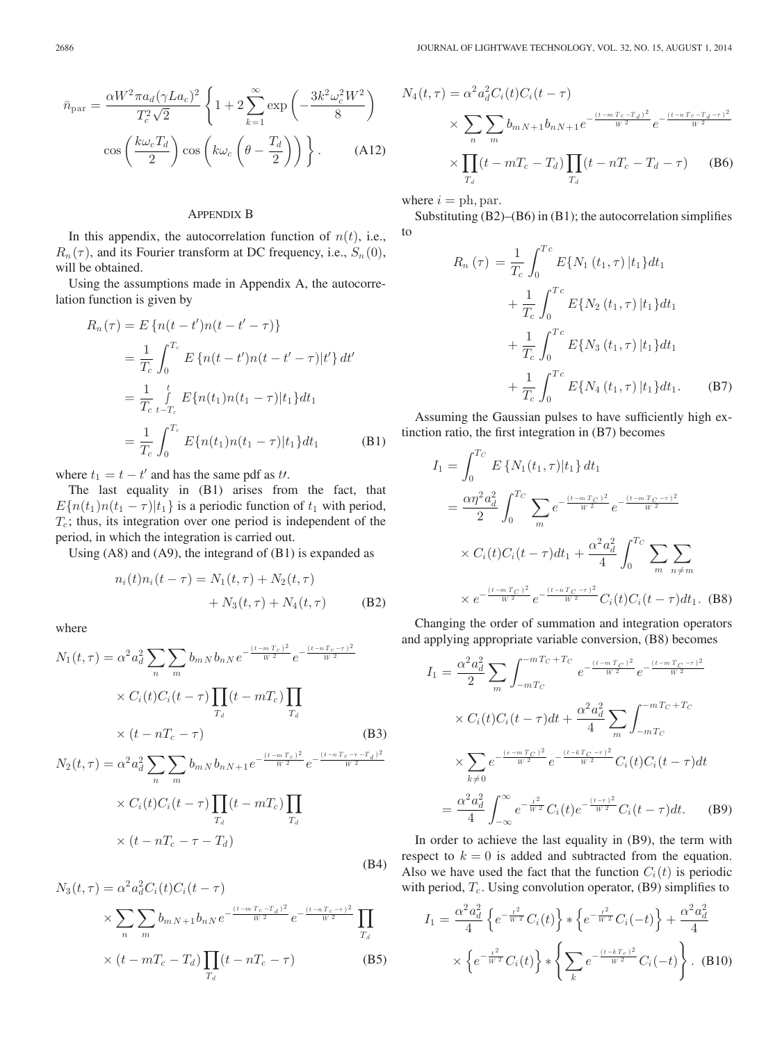$$
\bar{n}_{\text{par}} = \frac{\alpha W^2 \pi a_d (\gamma L a_c)^2}{T_c^2 \sqrt{2}} \left\{ 1 + 2 \sum_{k=1}^{\infty} \exp\left(-\frac{3k^2 \omega_c^2 W^2}{8}\right) \cos\left(\frac{k \omega_c T_d}{2}\right) \cos\left(k \omega_c \left(\theta - \frac{T_d}{2}\right)\right) \right\}.
$$
 (A12)

## APPENDIX B

In this appendix, the autocorrelation function of  $n(t)$ , i.e.,  $R_n(\tau)$ , and its Fourier transform at DC frequency, i.e.,  $S_n(0)$ , will be obtained.

Using the assumptions made in Appendix A, the autocorrelation function is given by

$$
R_n(\tau) = E\left\{n(t - t')n(t - t' - \tau)\right\}
$$
  
=  $\frac{1}{T_c} \int_0^{T_c} E\left\{n(t - t')n(t - t' - \tau)|t'\right\} dt'$   
=  $\frac{1}{T_c} \int_{t - T_c}^t E\{n(t_1)n(t_1 - \tau)|t_1\} dt_1$   
=  $\frac{1}{T_c} \int_0^{T_c} E\{n(t_1)n(t_1 - \tau)|t_1\} dt_1$  (B1)

where  $t_1 = t - t'$  and has the same pdf as  $t$ .

The last equality in (B1) arises from the fact, that  $E\{n(t_1)n(t_1 - \tau)|t_1\}$  is a periodic function of  $t_1$  with period,  $T_c$ ; thus, its integration over one period is independent of the period, in which the integration is carried out.

Using (A8) and (A9), the integrand of (B1) is expanded as

$$
n_i(t)n_i(t-\tau) = N_1(t,\tau) + N_2(t,\tau) + N_3(t,\tau) + N_4(t,\tau)
$$
 (B2)

where

$$
N_1(t,\tau) = \alpha^2 a_d^2 \sum_n \sum_m b_{mN} b_{nN} e^{-\frac{(t - m T_c)^2}{W^2}} e^{-\frac{(t - n T_c - \tau)^2}{W^2}}
$$
  
 
$$
\times C_i(t) C_i(t - \tau) \prod_{T_d} (t - m T_c) \prod_{T_d}
$$
  
 
$$
\times (t - n T_c - \tau) \qquad (B3)
$$
  
\n
$$
N_2(t,\tau) = \alpha^2 a_d^2 \sum_n \sum b_{mN} b_{nN+1} e^{-\frac{(t - m T_c)^2}{W^2}} e^{-\frac{(t - n T_c - \tau - T_d)^2}{W^2}}
$$

$$
N_2(t,\tau) = \alpha^2 a_d^2 \sum_n \sum_m b_{mN} b_{nN+1} e^{-\frac{(t-m T_c)^2}{W^2}} e^{-\frac{(t-nT_c-\tau-T_d)^2}{W^2}}
$$
  
 
$$
\times C_i(t) C_i(t-\tau) \prod_{T_d} (t-mT_c) \prod_{T_d}
$$
  
 
$$
\times (t-nT_c-\tau-T_d)
$$
 (B4)

$$
N_3(t,\tau) = \alpha^2 a_d^2 C_i(t) C_i(t-\tau)
$$
  
\$\times \sum\_{n} \sum\_{m} b\_{m} N\_{+1} b\_{n} e^{-\frac{(t-m T\_c - T\_d)^2}{W^2}} e^{-\frac{(t-n T\_c - \tau)^2}{W^2}} \prod\_{T\_d}\$  
\$\times (t - m T\_c - T\_d) \prod\_{T\_d} (t - n T\_c - \tau)\$ \qquad (B5)\$

$$
N_4(t,\tau) = \alpha^2 a_d^2 C_i(t) C_i(t-\tau)
$$
  
\$\times \sum\_{n} \sum\_{m} b\_{m} N\_{+1} b\_{n} N\_{+1} e^{-\frac{(t-m T\_c - T\_d)^2}{W^2}} e^{-\frac{(t-n T\_c - T\_d - \tau)^2}{W^2}}\$  
\$\times \prod\_{T\_d} (t - m T\_c - T\_d) \prod\_{T\_d} (t - n T\_c - T\_d - \tau)\$ \$ (B6)\$

where  $i =$  ph, par.

Substituting (B2)–(B6) in (B1); the autocorrelation simplifies to

$$
R_n(\tau) = \frac{1}{T_c} \int_0^{T_c} E\{N_1(t_1, \tau) | t_1\} dt_1
$$
  
+  $\frac{1}{T_c} \int_0^{T_c} E\{N_2(t_1, \tau) | t_1\} dt_1$   
+  $\frac{1}{T_c} \int_0^{T_c} E\{N_3(t_1, \tau) | t_1\} dt_1$   
+  $\frac{1}{T_c} \int_0^{T_c} E\{N_4(t_1, \tau) | t_1\} dt_1$ . (B7)

Assuming the Gaussian pulses to have sufficiently high extinction ratio, the first integration in (B7) becomes

$$
I_1 = \int_0^{T_C} E\{N_1(t_1, \tau) | t_1\} dt_1
$$
  
=  $\frac{\alpha \eta^2 a_d^2}{2} \int_0^{T_C} \sum_m e^{-\frac{(t - m T_C)^2}{W^2}} e^{-\frac{(t - m T_C - \tau)^2}{W^2}}$   
 $\times C_i(t) C_i(t - \tau) dt_1 + \frac{\alpha^2 a_d^2}{4} \int_0^{T_C} \sum_m \sum_{n \neq m}$   
 $\times e^{-\frac{(t - m T_C)^2}{W^2}} e^{-\frac{(t - n T_C - \tau)^2}{W^2}} C_i(t) C_i(t - \tau) dt_1$ . (B8)

Changing the order of summation and integration operators and applying appropriate variable conversion, (B8) becomes

$$
I_1 = \frac{\alpha^2 a_d^2}{2} \sum_m \int_{-mT_C}^{-mT_C + T_C} e^{-\frac{(t - mT_C)^2}{W^2}} e^{-\frac{(t - mT_C - \tau)^2}{W^2}}
$$
  
\n
$$
\times C_i(t) C_i(t - \tau) dt + \frac{\alpha^2 a_d^2}{4} \sum_m \int_{-mT_C}^{-mT_C + T_C}
$$
  
\n
$$
\times \sum_{k \neq 0} e^{-\frac{(e - mT_C)^2}{W^2}} e^{-\frac{(t - kT_C - \tau)^2}{W^2}} C_i(t) C_i(t - \tau) dt
$$
  
\n
$$
= \frac{\alpha^2 a_d^2}{4} \int_{-\infty}^{\infty} e^{-\frac{t^2}{W^2}} C_i(t) e^{-\frac{(t - \tau)^2}{W^2}} C_i(t - \tau) dt.
$$
 (B9)

In order to achieve the last equality in (B9), the term with respect to  $k = 0$  is added and subtracted from the equation. Also we have used the fact that the function  $C_i(t)$  is periodic with period,  $T_c$ . Using convolution operator, (B9) simplifies to

$$
I_1 = \frac{\alpha^2 a_d^2}{4} \left\{ e^{-\frac{t^2}{W^2}} C_i(t) \right\} * \left\{ e^{-\frac{t^2}{W^2}} C_i(-t) \right\} + \frac{\alpha^2 a_d^2}{4}
$$

$$
\times \left\{ e^{-\frac{t^2}{W^2}} C_i(t) \right\} * \left\{ \sum_k e^{-\frac{(t-kT_c)^2}{W^2}} C_i(-t) \right\}. \tag{B10}
$$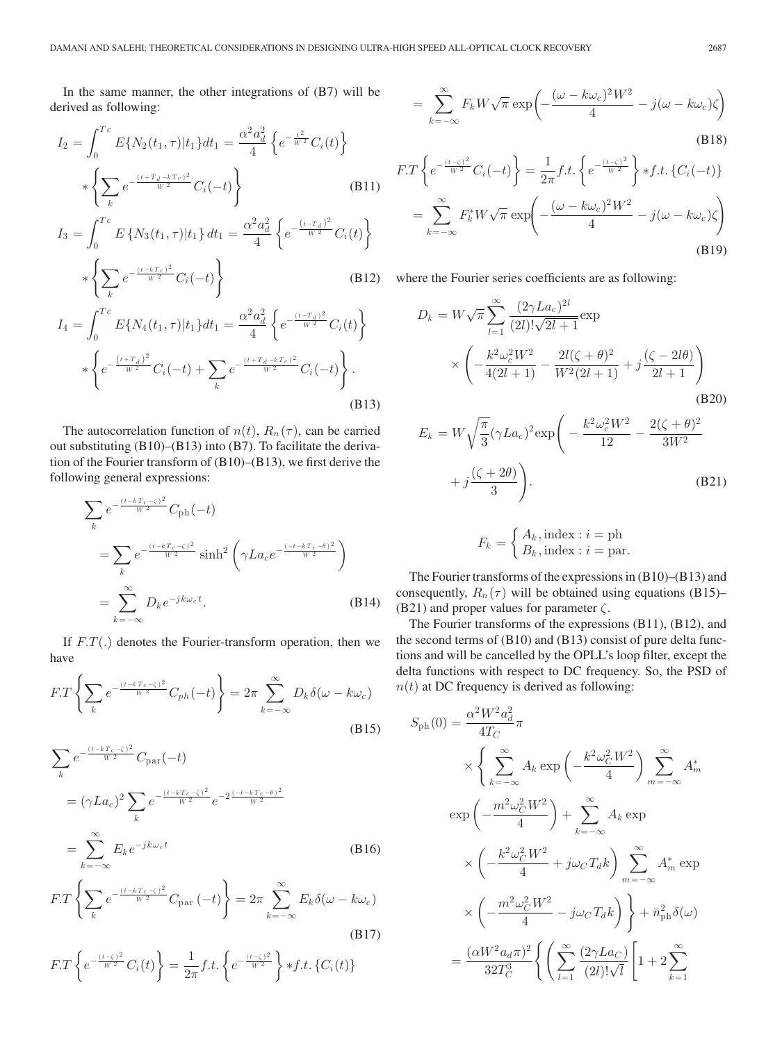In the same manner, the other integrations of (B7) will be derived as following:

$$
I_2 = \int_0^{T_c} E\{N_2(t_1, \tau)|t_1\} dt_1 = \frac{\alpha^2 a_d^2}{4} \left\{ e^{-\frac{t^2}{W^2}} C_i(t) \right\}
$$
  
\n
$$
* \left\{ \sum_k e^{-\frac{(t + T_d - kT_c)^2}{W^2}} C_i(-t) \right\}
$$
(B11)  
\n
$$
I_3 = \int_0^{T_c} E\{N_3(t_1, \tau)|t_1\} dt_1 = \frac{\alpha^2 a_d^2}{4} \left\{ e^{-\frac{(t - T_d)^2}{W^2}} C_i(t) \right\}
$$
  
\n
$$
* \left\{ \sum_k e^{-\frac{(t - kT_c)^2}{W^2}} C_i(-t) \right\}
$$
(B12)  
\n
$$
I_4 = \int_0^{T_c} E\{N_4(t_1, \tau)|t_1\} dt_1 = \frac{\alpha^2 a_d^2}{4} \left\{ e^{-\frac{(t - T_d)^2}{W^2}} C_i(t) \right\}
$$

$$
4 = \int_0^{L_1 \{1 + \frac{d_1}{2}\}} C_i(-t) + \sum_k e^{-\frac{(t + T_d - kT_c)^2}{W^2}} C_i(-t) \Bigg).
$$
\n(B13)

The autocorrelation function of  $n(t)$ ,  $R_n(\tau)$ , can be carried out substituting (B10)–(B13) into (B7). To facilitate the derivation of the Fourier transform of (B10)–(B13), we first derive the following general expressions:

$$
\sum_{k} e^{-\frac{(t-kT_c-\zeta)^2}{W^2}} C_{\text{ph}}(-t)
$$
\n
$$
= \sum_{k} e^{-\frac{(t-kT_c-\zeta)^2}{W^2}} \sinh^2 \left( \gamma La_c e^{-\frac{(-t-kT_c-\theta)^2}{W^2}} \right)
$$
\n
$$
= \sum_{k=-\infty}^{\infty} D_k e^{-jk\omega_c t}.
$$
\n(B14)

If  $F.T(.)$  denotes the Fourier-transform operation, then we have

$$
F.T\left\{\sum_{k} e^{-\frac{(t-kT_c-\zeta)^2}{W^2}}C_{ph}(-t)\right\} = 2\pi \sum_{k=-\infty}^{\infty} D_k \delta(\omega - k\omega_c)
$$
\n(B15)

$$
\sum_{k} e^{-\frac{(t - kT_c - \zeta)^2}{W^2}} C_{\text{par}}(-t)
$$
  
=  $(\gamma La_c)^2 \sum_{k} e^{-\frac{(t - kT_c - \zeta)^2}{W^2}} e^{-2\frac{(-t - kT_c - \theta)^2}{W^2}}$   
=  $\sum_{k}^{\infty} E_k e^{-jk\omega_c t}$  (B16)

$$
=\sum_{k=-\infty}E_{k}e^{-jk\omega_{c}t}\tag{B16}
$$

$$
F.T\left\{\sum_{k} e^{-\frac{(t-kT_c-\zeta)^2}{W^2}} C_{\text{par}}\left(-t\right)\right\} = 2\pi \sum_{k=-\infty}^{\infty} E_k \delta(\omega - k\omega_c)
$$
\n(B17)

$$
F.T\left\{e^{-\frac{(t-\zeta)^2}{W^2}}C_i(t)\right\} = \frac{1}{2\pi}f.t.\left\{e^{-\frac{(t-\zeta)^2}{W^2}}\right\}*f.t.\left\{C_i(t)\right\}
$$

$$
= \sum_{k=-\infty}^{\infty} F_k W \sqrt{\pi} \exp\left(-\frac{(\omega - k\omega_c)^2 W^2}{4} - j(\omega - k\omega_c)\zeta\right)
$$
\n(B18)

$$
F.T\left\{e^{-\frac{(t-\zeta)^2}{W^2}}C_i(-t)\right\} = \frac{1}{2\pi}f.t.\left\{e^{-\frac{(t-\zeta)^2}{W^2}}\right\}*f.t.\left\{C_i(-t)\right\}
$$

$$
= \sum_{k=-\infty}^{\infty} F_k^*W\sqrt{\pi}\exp\left(-\frac{(\omega-k\omega_c)^2W^2}{4}-j(\omega-k\omega_c)\zeta\right)
$$
(B19)

where the Fourier series coefficients are as following:

$$
D_k = W\sqrt{\pi} \sum_{l=1}^{\infty} \frac{(2\gamma La_c)^{2l}}{(2l)!\sqrt{2l+1}} \exp \times \left( -\frac{k^2 \omega_c^2 W^2}{4(2l+1)} - \frac{2l(\zeta + \theta)^2}{W^2(2l+1)} + j\frac{(\zeta - 2l\theta)}{2l+1} \right)
$$
(B20)

$$
E_k = W \sqrt{\frac{\pi}{3}} (\gamma La_c)^2 \exp\left(-\frac{k^2 \omega_c^2 W^2}{12} - \frac{2(\zeta + \theta)^2}{3W^2} + j\frac{(\zeta + 2\theta)}{3}\right).
$$
\n(B21)

$$
F_k = \begin{cases} A_k, \text{index} : i = \text{ph} \\ B_k, \text{index} : i = \text{par.} \end{cases}
$$

The Fourier transforms of the expressions in (B10)–(B13) and consequently,  $R_n(\tau)$  will be obtained using equations (B15)– (B21) and proper values for parameter  $\zeta$ .

The Fourier transforms of the expressions (B11), (B12), and the second terms of (B10) and (B13) consist of pure delta functions and will be cancelled by the OPLL's loop filter, except the delta functions with respect to DC frequency. So, the PSD of  $n(t)$  at DC frequency is derived as following:

$$
S_{\rm ph}(0) = \frac{\alpha^2 W^2 a_d^2}{4T_C} \pi
$$
  
\n
$$
\times \left\{ \sum_{k=-\infty}^{\infty} A_k \exp\left(-\frac{k^2 \omega_C^2 W^2}{4}\right) \sum_{m=-\infty}^{\infty} A_m^* \right\}
$$
  
\n
$$
\exp\left(-\frac{m^2 \omega_C^2 W^2}{4}\right) + \sum_{k=-\infty}^{\infty} A_k \exp
$$
  
\n
$$
\times \left(-\frac{k^2 \omega_C^2 W^2}{4} + j\omega_C T_d k\right) \sum_{m=-\infty}^{\infty} A_m^* \exp
$$
  
\n
$$
\times \left(-\frac{m^2 \omega_C^2 W^2}{4} - j\omega_C T_d k\right) + \bar{n}_{\rm ph}^2 \delta(\omega)
$$
  
\n
$$
= \frac{(\alpha W^2 a_d \pi)^2}{32T_C^3} \left\{ \left(\sum_{l=1}^{\infty} \frac{(2\gamma La_C)}{(2l)! \sqrt{l}} \left[1 + 2 \sum_{k=1}^{\infty} \right. \right]
$$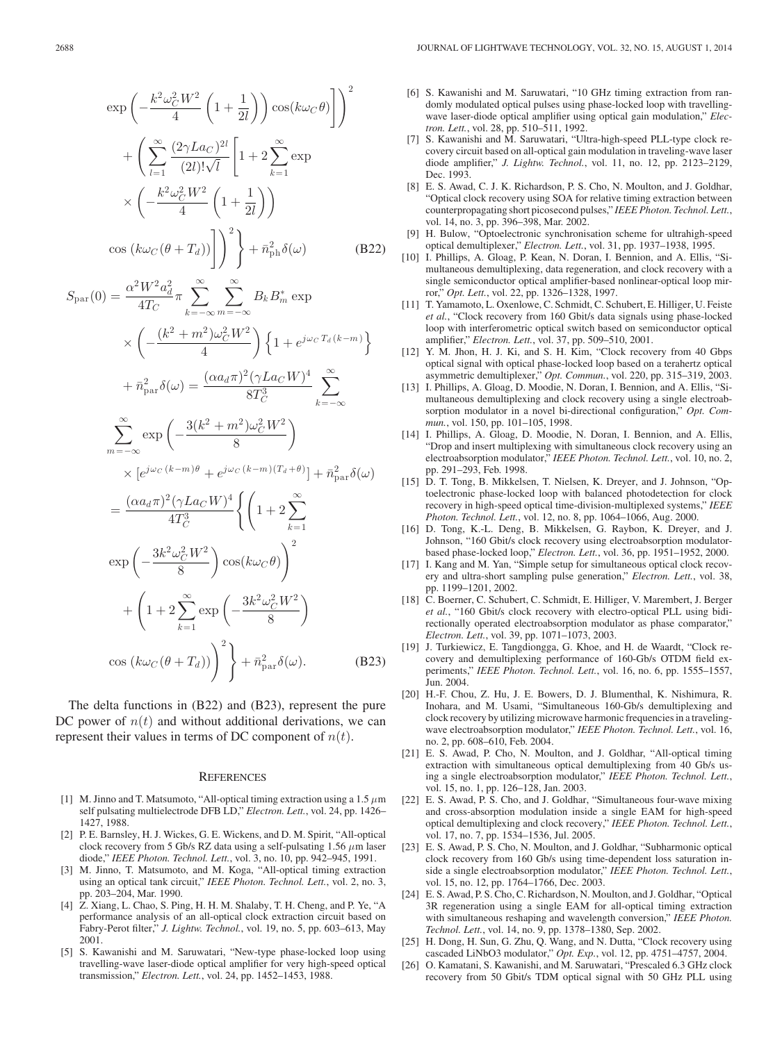$$
\exp\left(-\frac{k^2\omega_C^2 W^2}{4}\left(1+\frac{1}{2l}\right)\right)\cos(k\omega_C\theta)\right)^2
$$

$$
+\left(\sum_{l=1}^{\infty}\frac{(2\gamma La_C)^{2l}}{(2l)!\sqrt{l}}\left[1+2\sum_{k=1}^{\infty}\exp\left(\frac{k^2\omega_C^2 W^2}{4}\left(1+\frac{1}{2l}\right)\right)\right]
$$

$$
\cos\left(k\omega_C(\theta+T_d)\right)\right]^2\right\} + \bar{n}_{\rm ph}^2\delta(\omega) \tag{B22}
$$

$$
S_{\text{par}}(0) = \frac{\alpha^2 W^2 a_d^2}{4T_C} \pi \sum_{k=-\infty}^{\infty} \sum_{m=-\infty}^{\infty} B_k B_m^* \exp \times \left(-\frac{(k^2 + m^2)\omega_C^2 W^2}{4}\right) \left\{1 + e^{j\omega_C T_d(k-m)}\right\}
$$

$$
+\bar{n}_{\text{par}}^2\delta(\omega) = \frac{(\alpha a_d \pi)^2 (\gamma La_C W)^4}{8T_C^3} \sum_{k=-\infty}^{\infty}
$$

$$
\sum_{m=-\infty}^{\infty} \exp\left(-\frac{3(k^2+m^2)\omega_C^2 W^2}{8}\right)
$$

$$
\times [e^{j\omega_C (k-m)\theta} + e^{j\omega_C (k-m)(T_d+\theta)}] + \bar{n}_{\text{par}}^2 \delta(\omega)
$$

$$
= \frac{(\alpha a_d \pi)^2 (\gamma La_C W)^4}{4T_C^3} \left\{ \left( 1 + 2 \sum_{k=1}^{\infty} \exp\left( -\frac{3k^2 \omega_C^2 W^2}{8} \right) \cos(k\omega_C \theta) \right)^2 + \left( 1 + 2 \sum_{k=1}^{\infty} \exp\left( -\frac{3k^2 \omega_C^2 W^2}{8} \right) \cos(k\omega_C (\theta + T_d)) \right)^2 \right\} + \bar{n}_{\text{par}}^2 \delta(\omega). \tag{B23}
$$

The delta functions in (B22) and (B23), represent the pure DC power of  $n(t)$  and without additional derivations, we can represent their values in terms of DC component of  $n(t)$ .

#### **REFERENCES**

- [1] M. Jinno and T. Matsumoto, "All-optical timing extraction using a 1.5  $\mu$ m self pulsating multielectrode DFB LD," *Electron. Lett.*, vol. 24, pp. 1426– 1427, 1988.
- [2] P. E. Barnsley, H. J. Wickes, G. E. Wickens, and D. M. Spirit, "All-optical clock recovery from 5 Gb/s RZ data using a self-pulsating 1.56  $\mu$ m laser diode," *IEEE Photon. Technol. Lett.*, vol. 3, no. 10, pp. 942–945, 1991.
- [3] M. Jinno, T. Matsumoto, and M. Koga, "All-optical timing extraction using an optical tank circuit," *IEEE Photon. Technol. Lett.*, vol. 2, no. 3, pp. 203–204, Mar. 1990.
- [4] Z. Xiang, L. Chao, S. Ping, H. H. M. Shalaby, T. H. Cheng, and P. Ye, "A performance analysis of an all-optical clock extraction circuit based on Fabry-Perot filter," *J. Lightw. Technol.*, vol. 19, no. 5, pp. 603–613, May 2001.
- [5] S. Kawanishi and M. Saruwatari, "New-type phase-locked loop using travelling-wave laser-diode optical amplifier for very high-speed optical transmission," *Electron. Lett.*, vol. 24, pp. 1452–1453, 1988.
- [6] S. Kawanishi and M. Saruwatari, "10 GHz timing extraction from randomly modulated optical pulses using phase-locked loop with travellingwave laser-diode optical amplifier using optical gain modulation," *Electron. Lett.*, vol. 28, pp. 510–511, 1992.
- [7] S. Kawanishi and M. Saruwatari, "Ultra-high-speed PLL-type clock recovery circuit based on all-optical gain modulation in traveling-wave laser diode amplifier," *J. Lightw. Technol.*, vol. 11, no. 12, pp. 2123–2129, Dec. 1993.
- [8] E. S. Awad, C. J. K. Richardson, P. S. Cho, N. Moulton, and J. Goldhar, "Optical clock recovery using SOA for relative timing extraction between counterpropagating short picosecond pulses," *IEEE Photon. Technol. Lett.*, vol. 14, no. 3, pp. 396–398, Mar. 2002.
- [9] H. Bulow, "Optoelectronic synchronisation scheme for ultrahigh-speed optical demultiplexer," *Electron. Lett.*, vol. 31, pp. 1937–1938, 1995.
- [10] I. Phillips, A. Gloag, P. Kean, N. Doran, I. Bennion, and A. Ellis, "Simultaneous demultiplexing, data regeneration, and clock recovery with a single semiconductor optical amplifier-based nonlinear-optical loop mirror," *Opt. Lett.*, vol. 22, pp. 1326–1328, 1997.
- [11] T. Yamamoto, L. Oxenlowe, C. Schmidt, C. Schubert, E. Hilliger, U. Feiste *et al.*, "Clock recovery from 160 Gbit/s data signals using phase-locked loop with interferometric optical switch based on semiconductor optical amplifier," *Electron. Lett.*, vol. 37, pp. 509–510, 2001.
- [12] Y. M. Jhon, H. J. Ki, and S. H. Kim, "Clock recovery from 40 Gbps optical signal with optical phase-locked loop based on a terahertz optical asymmetric demultiplexer," *Opt. Commun.*, vol. 220, pp. 315–319, 2003.
- [13] I. Phillips, A. Gloag, D. Moodie, N. Doran, I. Bennion, and A. Ellis, "Simultaneous demultiplexing and clock recovery using a single electroabsorption modulator in a novel bi-directional configuration," *Opt. Commun.*, vol. 150, pp. 101–105, 1998.
- [14] I. Phillips, A. Gloag, D. Moodie, N. Doran, I. Bennion, and A. Ellis, "Drop and insert multiplexing with simultaneous clock recovery using an electroabsorption modulator," *IEEE Photon. Technol. Lett.*, vol. 10, no. 2, pp. 291–293, Feb. 1998.
- [15] D. T. Tong, B. Mikkelsen, T. Nielsen, K. Dreyer, and J. Johnson, "Optoelectronic phase-locked loop with balanced photodetection for clock recovery in high-speed optical time-division-multiplexed systems," *IEEE Photon. Technol. Lett.*, vol. 12, no. 8, pp. 1064–1066, Aug. 2000.
- [16] D. Tong, K.-L. Deng, B. Mikkelsen, G. Raybon, K. Dreyer, and J. Johnson, "160 Gbit/s clock recovery using electroabsorption modulatorbased phase-locked loop," *Electron. Lett.*, vol. 36, pp. 1951–1952, 2000.
- [17] I. Kang and M. Yan, "Simple setup for simultaneous optical clock recovery and ultra-short sampling pulse generation," *Electron. Lett.*, vol. 38, pp. 1199–1201, 2002.
- [18] C. Boerner, C. Schubert, C. Schmidt, E. Hilliger, V. Marembert, J. Berger *et al.*, "160 Gbit/s clock recovery with electro-optical PLL using bidirectionally operated electroabsorption modulator as phase comparator," *Electron. Lett.*, vol. 39, pp. 1071–1073, 2003.
- [19] J. Turkiewicz, E. Tangdiongga, G. Khoe, and H. de Waardt, "Clock recovery and demultiplexing performance of 160-Gb/s OTDM field experiments," *IEEE Photon. Technol. Lett.*, vol. 16, no. 6, pp. 1555–1557, Jun. 2004.
- [20] H.-F. Chou, Z. Hu, J. E. Bowers, D. J. Blumenthal, K. Nishimura, R. Inohara, and M. Usami, "Simultaneous 160-Gb/s demultiplexing and clock recovery by utilizing microwave harmonic frequencies in a travelingwave electroabsorption modulator," *IEEE Photon. Technol. Lett.*, vol. 16, no. 2, pp. 608–610, Feb. 2004.
- [21] E. S. Awad, P. Cho, N. Moulton, and J. Goldhar, "All-optical timing extraction with simultaneous optical demultiplexing from 40 Gb/s using a single electroabsorption modulator," *IEEE Photon. Technol. Lett.*, vol. 15, no. 1, pp. 126–128, Jan. 2003.
- [22] E. S. Awad, P. S. Cho, and J. Goldhar, "Simultaneous four-wave mixing and cross-absorption modulation inside a single EAM for high-speed optical demultiplexing and clock recovery," *IEEE Photon. Technol. Lett.*, vol. 17, no. 7, pp. 1534–1536, Jul. 2005.
- [23] E. S. Awad, P. S. Cho, N. Moulton, and J. Goldhar, "Subharmonic optical clock recovery from 160 Gb/s using time-dependent loss saturation inside a single electroabsorption modulator," *IEEE Photon. Technol. Lett.*, vol. 15, no. 12, pp. 1764–1766, Dec. 2003.
- [24] E. S. Awad, P. S. Cho, C. Richardson, N. Moulton, and J. Goldhar, "Optical 3R regeneration using a single EAM for all-optical timing extraction with simultaneous reshaping and wavelength conversion," *IEEE Photon. Technol. Lett.*, vol. 14, no. 9, pp. 1378–1380, Sep. 2002.
- [25] H. Dong, H. Sun, G. Zhu, Q. Wang, and N. Dutta, "Clock recovery using cascaded LiNbO3 modulator," *Opt. Exp.*, vol. 12, pp. 4751–4757, 2004.
- [26] O. Kamatani, S. Kawanishi, and M. Saruwatari, "Prescaled 6.3 GHz clock recovery from 50 Gbit/s TDM optical signal with 50 GHz PLL using